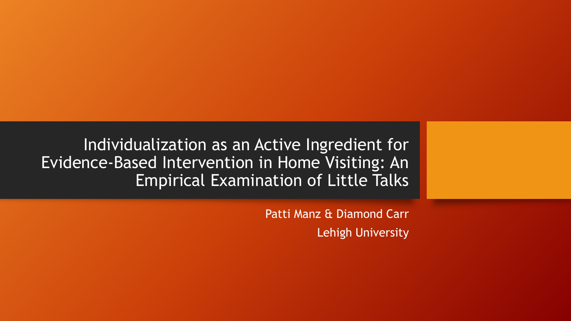Individualization as an Active Ingredient for Evidence-Based Intervention in Home Visiting: An Empirical Examination of Little Talks

> Patti Manz & Diamond Carr Lehigh University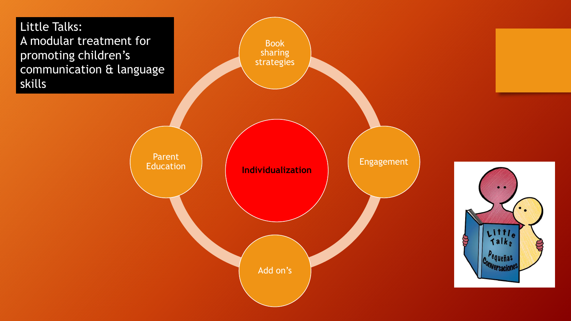



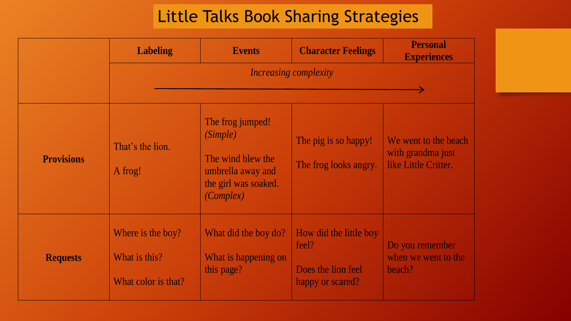#### Little Talks Book Sharing Strategies

|                   | <b>Labeling</b>                                           | <b>Events</b>                                                                                                      | <b>Character Feelings</b>                                                 | <b>Personal</b><br><b>Experiences</b>                             |  |  |
|-------------------|-----------------------------------------------------------|--------------------------------------------------------------------------------------------------------------------|---------------------------------------------------------------------------|-------------------------------------------------------------------|--|--|
|                   | <i>Increasing complexity</i>                              |                                                                                                                    |                                                                           |                                                                   |  |  |
| <b>Provisions</b> | That's the lion.<br>A frog!                               | The frog jumped!<br><i>(Simple)</i><br>The wind blew the<br>umbrella away and<br>the girl was soaked.<br>(Complex) | The pig is so happy!<br>The frog looks angry.                             | We went to the beach<br>with grandma just<br>like Little Critter. |  |  |
| <b>Requests</b>   | Where is the boy?<br>What is this?<br>What color is that? | What did the boy do?<br>What is happening on<br>this page?                                                         | How did the little boy<br>feel?<br>Does the lion feel<br>happy or scared? | Do you remember<br>when we went to the<br>beach?                  |  |  |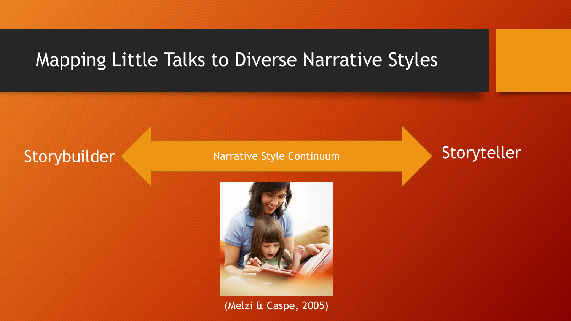### Mapping Little Talks to Diverse Narrative Styles

### Storybuilder Narrative Style Continuum Storyteller



(Melzi & Caspe, 2005)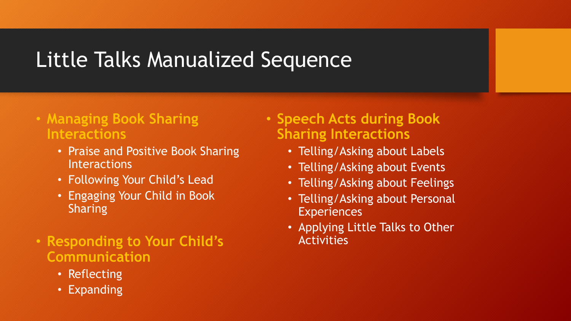# Little Talks Manualized Sequence

#### • **Managing Book Sharing Interactions**

- Praise and Positive Book Sharing **Interactions**
- Following Your Child's Lead
- Engaging Your Child in Book Sharing
- **Responding to Your Child's Communication**
	- Reflecting
	- Expanding
- **Speech Acts during Book Sharing Interactions**
	- Telling/Asking about Labels
	- Telling/Asking about Events
	- Telling/Asking about Feelings
	- Telling/Asking about Personal **Experiences**
	- Applying Little Talks to Other Activities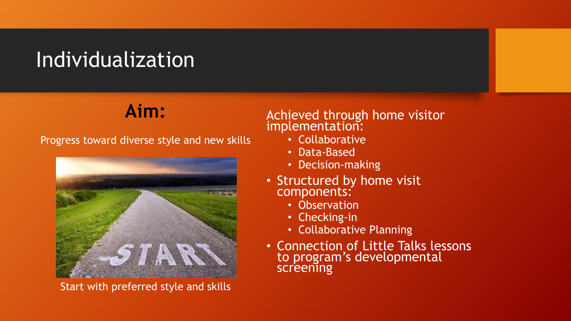## Individualization

## **Aim:**

Progress toward diverse style and new skills



Start with preferred style and skills

#### Achieved through home visitor implementation:

- Collaborative
- Data-Based
- Decision-making
- Structured by home visit components:
	- Observation
	- Checking-in
	- Collaborative Planning
- Connection of Little Talks lessons to program's developmental screening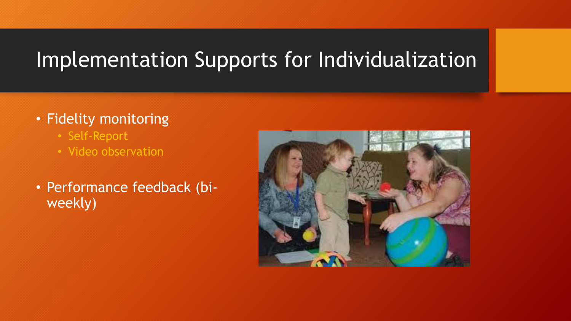# Implementation Supports for Individualization

#### • Fidelity monitoring

- Self-Report
- Video observation
- Performance feedback (biweekly)

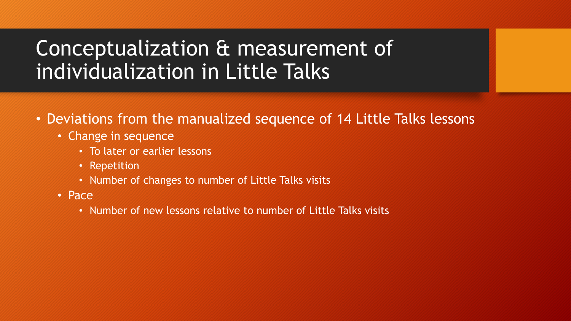# Conceptualization & measurement of individualization in Little Talks

- Deviations from the manualized sequence of 14 Little Talks lessons
	- Change in sequence
		- To later or earlier lessons
		- Repetition
		- Number of changes to number of Little Talks visits
	- Pace
		- Number of new lessons relative to number of Little Talks visits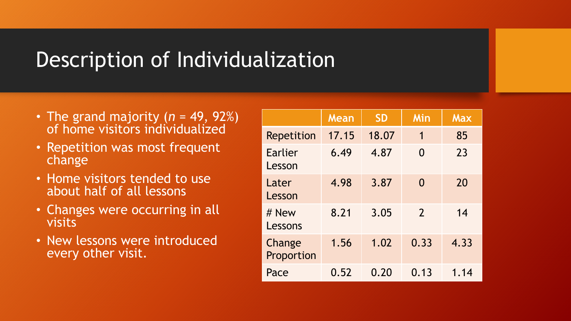## Description of Individualization

- The grand majority (*n* = 49, 92%) of home visitors individualized
- Repetition was most frequent change
- Home visitors tended to use about half of all lessons
- Changes were occurring in all visits
- New lessons were introduced every other visit.

|                      | Mean  | <b>SD</b> | Min            | <b>Max</b> |
|----------------------|-------|-----------|----------------|------------|
| <b>Repetition</b>    | 17.15 | 18.07     | 1              | 85         |
| Earlier<br>Lesson    | 6.49  | 4.87      | $\Omega$       | 23         |
| Later<br>Lesson      | 4.98  | 3.87      | $\Omega$       | 20         |
| # New<br>Lessons     | 8.21  | 3.05      | $\overline{2}$ | 14         |
| Change<br>Proportion | 1.56  | 1.02      | 0.33           | 4.33       |
| Pace                 | 0.52  | 0.20      | 0.13           | 1.14       |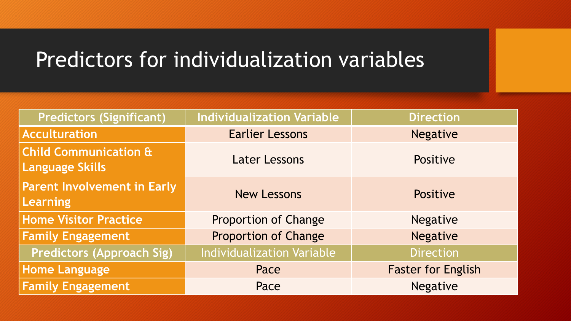# Predictors for individualization variables

| <b>Predictors (Significant)</b>                            | <b>Individualization Variable</b> | <b>Direction</b>          |  |
|------------------------------------------------------------|-----------------------------------|---------------------------|--|
| <b>Acculturation</b>                                       | <b>Earlier Lessons</b>            | <b>Negative</b>           |  |
| <b>Child Communication &amp;</b><br><b>Language Skills</b> | <b>Later Lessons</b>              | Positive                  |  |
| <b>Parent Involvement in Early</b><br><b>Learning</b>      | <b>New Lessons</b>                | Positive                  |  |
| <b>Home Visitor Practice</b>                               | <b>Proportion of Change</b>       | <b>Negative</b>           |  |
| <b>Family Engagement</b>                                   | <b>Proportion of Change</b>       | <b>Negative</b>           |  |
| <b>Predictors (Approach Sig)</b>                           | <b>Individualization Variable</b> | <b>Direction</b>          |  |
| <b>Home Language</b>                                       | Pace                              | <b>Faster for English</b> |  |
| <b>Family Engagement</b>                                   | Pace                              | <b>Negative</b>           |  |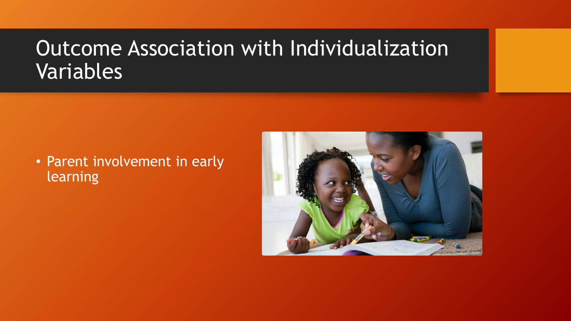## Outcome Association with Individualization Variables

#### • Parent involvement in early learning